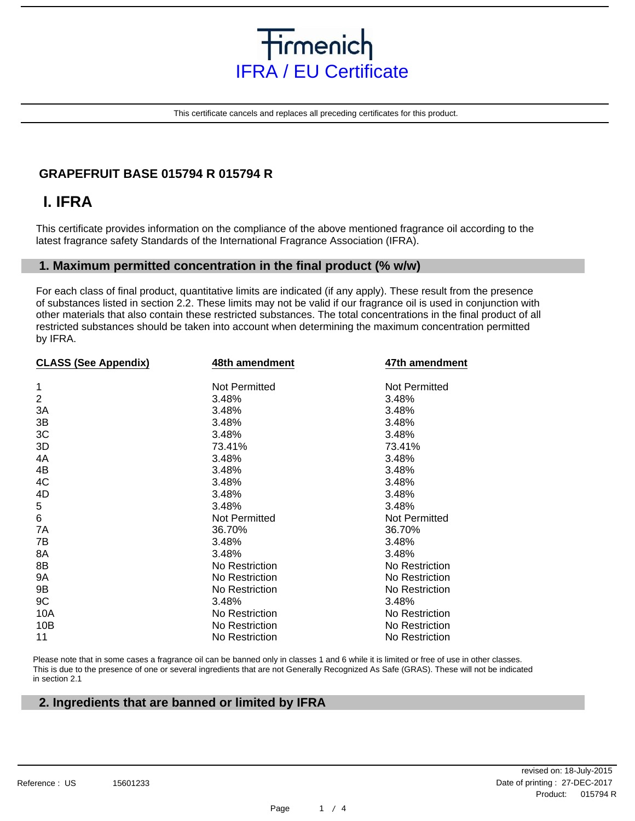

This certificate cancels and replaces all preceding certificates for this product.

### **GRAPEFRUIT BASE 015794 R 015794 R**

## **I. IFRA**

This certificate provides information on the compliance of the above mentioned fragrance oil according to the latest fragrance safety Standards of the International Fragrance Association (IFRA).

#### **1. Maximum permitted concentration in the final product (% w/w)**

For each class of final product, quantitative limits are indicated (if any apply). These result from the presence of substances listed in section 2.2. These limits may not be valid if our fragrance oil is used in conjunction with other materials that also contain these restricted substances. The total concentrations in the final product of all restricted substances should be taken into account when determining the maximum concentration permitted by IFRA.

| <b>CLASS (See Appendix)</b> | 48th amendment       | 47th amendment       |
|-----------------------------|----------------------|----------------------|
|                             |                      |                      |
| 1                           | Not Permitted        | Not Permitted        |
| $\overline{2}$              | 3.48%                | 3.48%                |
| 3A                          | 3.48%                | 3.48%                |
| 3B                          | 3.48%                | 3.48%                |
| 3C                          | 3.48%                | 3.48%                |
| 3D                          | 73.41%               | 73.41%               |
| 4A                          | 3.48%                | 3.48%                |
| 4B                          | 3.48%                | 3.48%                |
| 4C                          | 3.48%                | 3.48%                |
| 4D                          | 3.48%                | 3.48%                |
| 5                           | 3.48%                | 3.48%                |
| 6                           | <b>Not Permitted</b> | <b>Not Permitted</b> |
| 7A                          | 36.70%               | 36.70%               |
| 7B                          | 3.48%                | 3.48%                |
| 8A                          | 3.48%                | 3.48%                |
| 8B                          | No Restriction       | No Restriction       |
| <b>9A</b>                   | No Restriction       | No Restriction       |
| 9B                          | No Restriction       | No Restriction       |
| 9C                          | 3.48%                | 3.48%                |
| 10A                         | No Restriction       | No Restriction       |
| 10B                         | No Restriction       | No Restriction       |
| 11                          | No Restriction       | No Restriction       |
|                             |                      |                      |

Please note that in some cases a fragrance oil can be banned only in classes 1 and 6 while it is limited or free of use in other classes. This is due to the presence of one or several ingredients that are not Generally Recognized As Safe (GRAS). These will not be indicated in section 2.1

#### **2. Ingredients that are banned or limited by IFRA**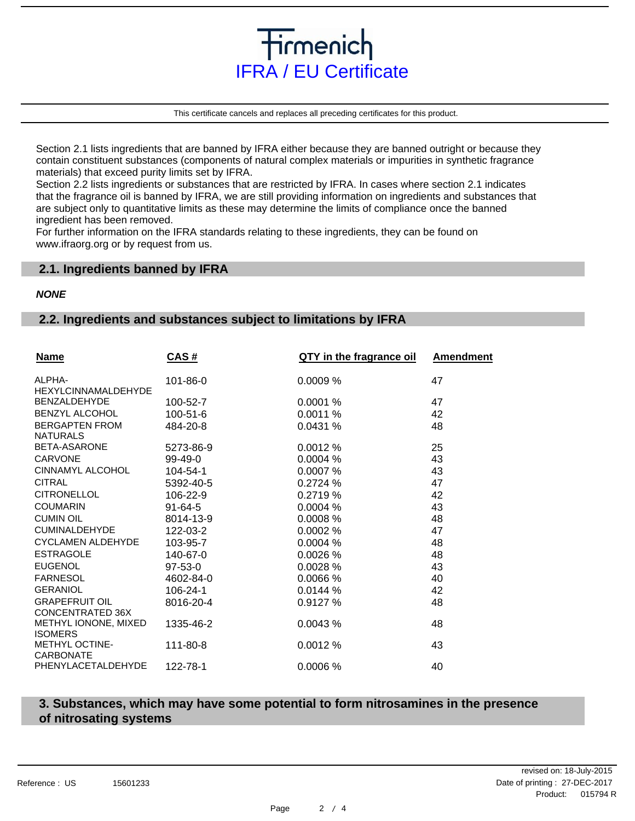

tirmenich

This certificate cancels and replaces all preceding certificates for this product.

Section 2.1 lists ingredients that are banned by IFRA either because they are banned outright or because they contain constituent substances (components of natural complex materials or impurities in synthetic fragrance materials) that exceed purity limits set by IFRA.

Section 2.2 lists ingredients or substances that are restricted by IFRA. In cases where section 2.1 indicates that the fragrance oil is banned by IFRA, we are still providing information on ingredients and substances that are subject only to quantitative limits as these may determine the limits of compliance once the banned ingredient has been removed.

For further information on the IFRA standards relating to these ingredients, they can be found on www.ifraorg.org or by request from us.

#### **2.1. Ingredients banned by IFRA**

#### **NONE**

#### **2.2. Ingredients and substances subject to limitations by IFRA**

| <b>Name</b>                               | CAS#           | QTY in the fragrance oil | Amendment |
|-------------------------------------------|----------------|--------------------------|-----------|
| ALPHA-<br><b>HEXYLCINNAMALDEHYDE</b>      | 101-86-0       | 0.0009 %                 | 47        |
| <b>BENZALDEHYDE</b>                       | 100-52-7       | 0.0001%                  | 47        |
| <b>BENZYL ALCOHOL</b>                     | $100 - 51 - 6$ | 0.0011%                  | 42        |
| <b>BERGAPTEN FROM</b><br><b>NATURALS</b>  | 484-20-8       | 0.0431 %                 | 48        |
| BETA-ASARONE                              | 5273-86-9      | 0.0012 %                 | 25        |
| <b>CARVONE</b>                            | $99-49-0$      | 0.0004%                  | 43        |
| CINNAMYL ALCOHOL                          | 104-54-1       | 0.0007%                  | 43        |
| <b>CITRAL</b>                             | 5392-40-5      | 0.2724%                  | 47        |
| <b>CITRONELLOL</b>                        | 106-22-9       | 0.2719%                  | 42        |
| <b>COUMARIN</b>                           | $91 - 64 - 5$  | 0.0004%                  | 43        |
| <b>CUMIN OIL</b>                          | 8014-13-9      | 0.0008%                  | 48        |
| <b>CUMINALDEHYDE</b>                      | 122-03-2       | 0.0002 %                 | 47        |
| <b>CYCLAMEN ALDEHYDE</b>                  | 103-95-7       | 0.0004%                  | 48        |
| <b>ESTRAGOLE</b>                          | 140-67-0       | 0.0026%                  | 48        |
| <b>EUGENOL</b>                            | 97-53-0        | 0.0028%                  | 43        |
| <b>FARNESOL</b>                           | 4602-84-0      | 0.0066%                  | 40        |
| <b>GERANIOL</b>                           | 106-24-1       | 0.0144%                  | 42        |
| <b>GRAPEFRUIT OIL</b><br>CONCENTRATED 36X | 8016-20-4      | 0.9127 %                 | 48        |
| METHYL IONONE, MIXED<br><b>ISOMERS</b>    | 1335-46-2      | 0.0043%                  | 48        |
| <b>METHYL OCTINE-</b><br><b>CARBONATE</b> | 111-80-8       | 0.0012 %                 | 43        |
| PHENYLACETALDEHYDE                        | 122-78-1       | 0.0006%                  | 40        |

#### **3. Substances, which may have some potential to form nitrosamines in the presence of nitrosating systems**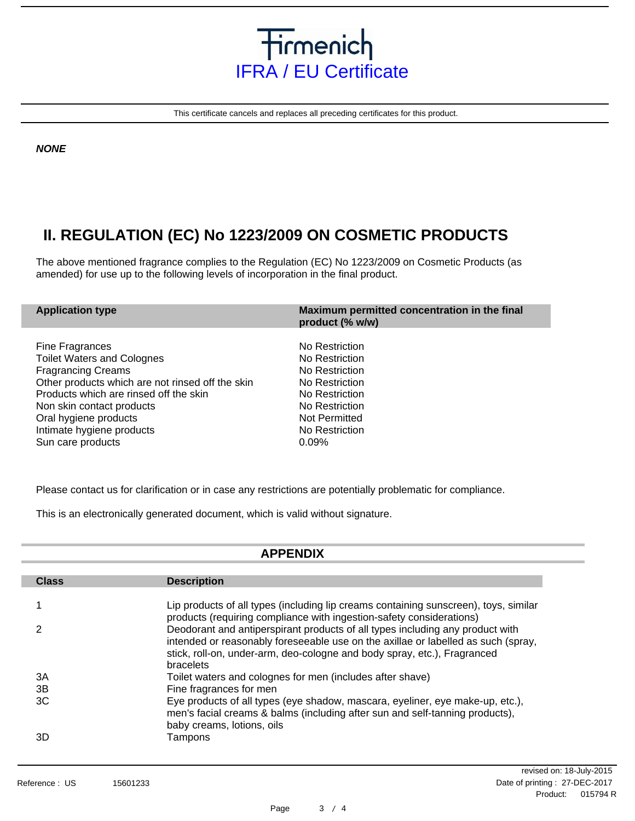

This certificate cancels and replaces all preceding certificates for this product.

**NONE**

## **II. REGULATION (EC) No 1223/2009 ON COSMETIC PRODUCTS**

The above mentioned fragrance complies to the Regulation (EC) No 1223/2009 on Cosmetic Products (as amended) for use up to the following levels of incorporation in the final product.

| <b>Application type</b>                          | Maximum permitted concentration in the final<br>product (% w/w) |
|--------------------------------------------------|-----------------------------------------------------------------|
| Fine Fragrances                                  | No Restriction                                                  |
| <b>Toilet Waters and Colognes</b>                | No Restriction                                                  |
| <b>Fragrancing Creams</b>                        | No Restriction                                                  |
| Other products which are not rinsed off the skin | No Restriction                                                  |
| Products which are rinsed off the skin           | No Restriction                                                  |
| Non skin contact products                        | No Restriction                                                  |
| Oral hygiene products                            | Not Permitted                                                   |
| Intimate hygiene products                        | No Restriction                                                  |
| Sun care products                                | 0.09%                                                           |

Please contact us for clarification or in case any restrictions are potentially problematic for compliance.

This is an electronically generated document, which is valid without signature.

#### **APPENDIX Description** Lip products of all types (including lip creams containing sunscreen), toys, similar products (requiring compliance with ingestion-safety considerations) Deodorant and antiperspirant products of all types including any product with intended or reasonably foreseeable use on the axillae or labelled as such (spray, stick, roll-on, under-arm, deo-cologne and body spray, etc.), Fragranced bracelets Toilet waters and colognes for men (includes after shave) Fine fragrances for men Eye products of all types (eye shadow, mascara, eyeliner, eye make-up, etc.), men's facial creams & balms (including after sun and self-tanning products), baby creams, lotions, oils Tampons **Class** 1 2 3A 3B 3C 3D